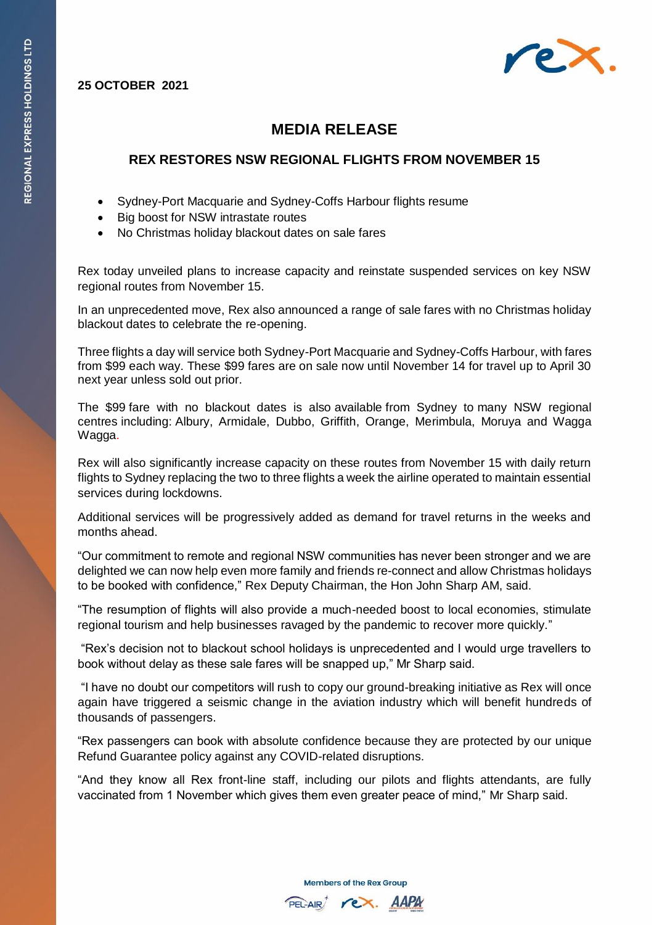**25 OCTOBER 2021**



## **MEDIA RELEASE**

## **REX RESTORES NSW REGIONAL FLIGHTS FROM NOVEMBER 15**

- Sydney-Port Macquarie and Sydney-Coffs Harbour flights resume
- Big boost for NSW intrastate routes
- No Christmas holiday blackout dates on sale fares

Rex today unveiled plans to increase capacity and reinstate suspended services on key NSW regional routes from November 15.

In an unprecedented move, Rex also announced a range of sale fares with no Christmas holiday blackout dates to celebrate the re-opening.

Three flights a day will service both Sydney-Port Macquarie and Sydney-Coffs Harbour, with fares from \$99 each way. These \$99 fares are on sale now until November 14 for travel up to April 30 next year unless sold out prior.

The \$99 fare with no blackout dates is also available from Sydney to many NSW regional centres including: Albury, Armidale, Dubbo, Griffith, Orange, Merimbula, Moruya and Wagga Wagga.

Rex will also significantly increase capacity on these routes from November 15 with daily return flights to Sydney replacing the two to three flights a week the airline operated to maintain essential services during lockdowns.

Additional services will be progressively added as demand for travel returns in the weeks and months ahead.

"Our commitment to remote and regional NSW communities has never been stronger and we are delighted we can now help even more family and friends re-connect and allow Christmas holidays to be booked with confidence," Rex Deputy Chairman, the Hon John Sharp AM, said.

"The resumption of flights will also provide a much-needed boost to local economies, stimulate regional tourism and help businesses ravaged by the pandemic to recover more quickly."

"Rex's decision not to blackout school holidays is unprecedented and I would urge travellers to book without delay as these sale fares will be snapped up," Mr Sharp said.

"I have no doubt our competitors will rush to copy our ground-breaking initiative as Rex will once again have triggered a seismic change in the aviation industry which will benefit hundreds of thousands of passengers.

"Rex passengers can book with absolute confidence because they are protected by our unique Refund Guarantee policy against any COVID-related disruptions.

"And they know all Rex front-line staff, including our pilots and flights attendants, are fully vaccinated from 1 November which gives them even greater peace of mind," Mr Sharp said.

**Members of the Rex Group**